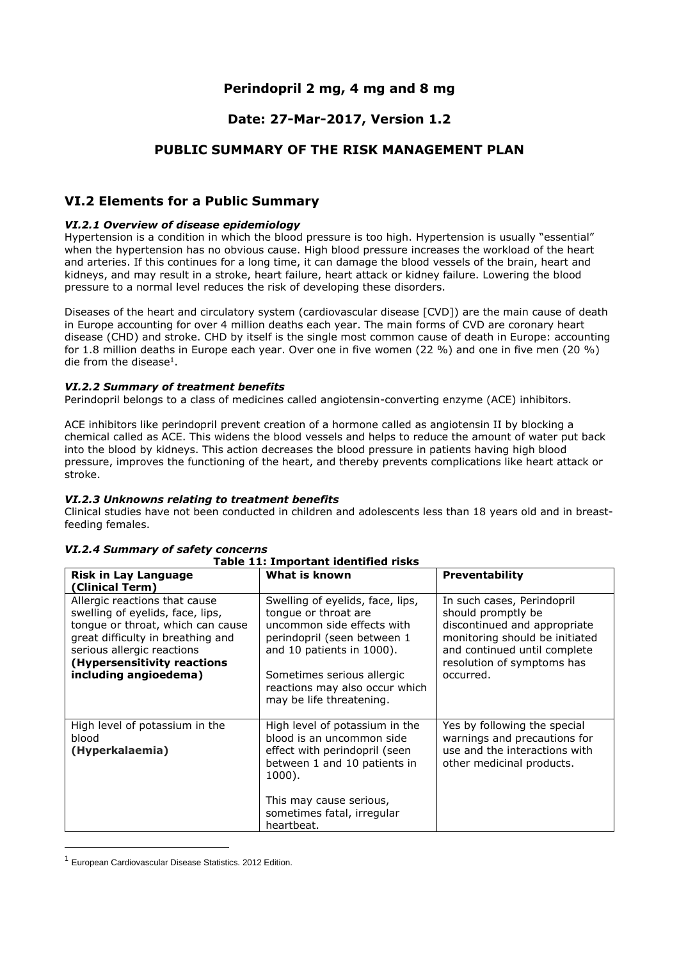# **Perindopril 2 mg, 4 mg and 8 mg**

# **Date: 27-Mar-2017, Version 1.2**

# **PUBLIC SUMMARY OF THE RISK MANAGEMENT PLAN**

## **VI.2 Elements for a Public Summary**

#### *VI.2.1 Overview of disease epidemiology*

Hypertension is a condition in which the blood pressure is too high. Hypertension is usually "essential" when the hypertension has no obvious cause. High blood pressure increases the workload of the heart and arteries. If this continues for a long time, it can damage the blood vessels of the brain, heart and kidneys, and may result in a stroke, heart failure, heart attack or kidney failure. Lowering the blood pressure to a normal level reduces the risk of developing these disorders.

Diseases of the heart and circulatory system (cardiovascular disease [CVD]) are the main cause of death in Europe accounting for over 4 million deaths each year. The main forms of CVD are coronary heart disease (CHD) and stroke. CHD by itself is the single most common cause of death in Europe: accounting for 1.8 million deaths in Europe each year. Over one in five women (22 %) and one in five men (20 %) die from the disease $<sup>1</sup>$ .</sup>

#### *VI.2.2 Summary of treatment benefits*

Perindopril belongs to a class of medicines called angiotensin-converting enzyme (ACE) inhibitors.

ACE inhibitors like perindopril prevent creation of a hormone called as angiotensin II by blocking a chemical called as ACE. This widens the blood vessels and helps to reduce the amount of water put back into the blood by kidneys. This action decreases the blood pressure in patients having high blood pressure, improves the functioning of the heart, and thereby prevents complications like heart attack or stroke.

#### *VI.2.3 Unknowns relating to treatment benefits*

Clinical studies have not been conducted in children and adolescents less than 18 years old and in breastfeeding females.

| <b>Risk in Lay Language</b><br>(Clinical Term)                                                                                                                                                                                    | What is known                                                                                                                                                                                                                                  | Preventability                                                                                                                                                                                |
|-----------------------------------------------------------------------------------------------------------------------------------------------------------------------------------------------------------------------------------|------------------------------------------------------------------------------------------------------------------------------------------------------------------------------------------------------------------------------------------------|-----------------------------------------------------------------------------------------------------------------------------------------------------------------------------------------------|
| Allergic reactions that cause<br>swelling of eyelids, face, lips,<br>tongue or throat, which can cause<br>great difficulty in breathing and<br>serious allergic reactions<br>(Hypersensitivity reactions<br>including angioedema) | Swelling of eyelids, face, lips,<br>tonque or throat are<br>uncommon side effects with<br>perindopril (seen between 1<br>and 10 patients in 1000).<br>Sometimes serious allergic<br>reactions may also occur which<br>may be life threatening. | In such cases, Perindopril<br>should promptly be<br>discontinued and appropriate<br>monitoring should be initiated<br>and continued until complete<br>resolution of symptoms has<br>occurred. |
| High level of potassium in the<br>blood<br>(Hyperkalaemia)                                                                                                                                                                        | High level of potassium in the<br>blood is an uncommon side<br>effect with perindopril (seen<br>between 1 and 10 patients in<br>1000).<br>This may cause serious,<br>sometimes fatal, irregular<br>heartbeat.                                  | Yes by following the special<br>warnings and precautions for<br>use and the interactions with<br>other medicinal products.                                                                    |

#### *VI.2.4 Summary of safety concerns* **Table 11: Important identified risks**

**.** 

<sup>1</sup> European Cardiovascular Disease Statistics. 2012 Edition.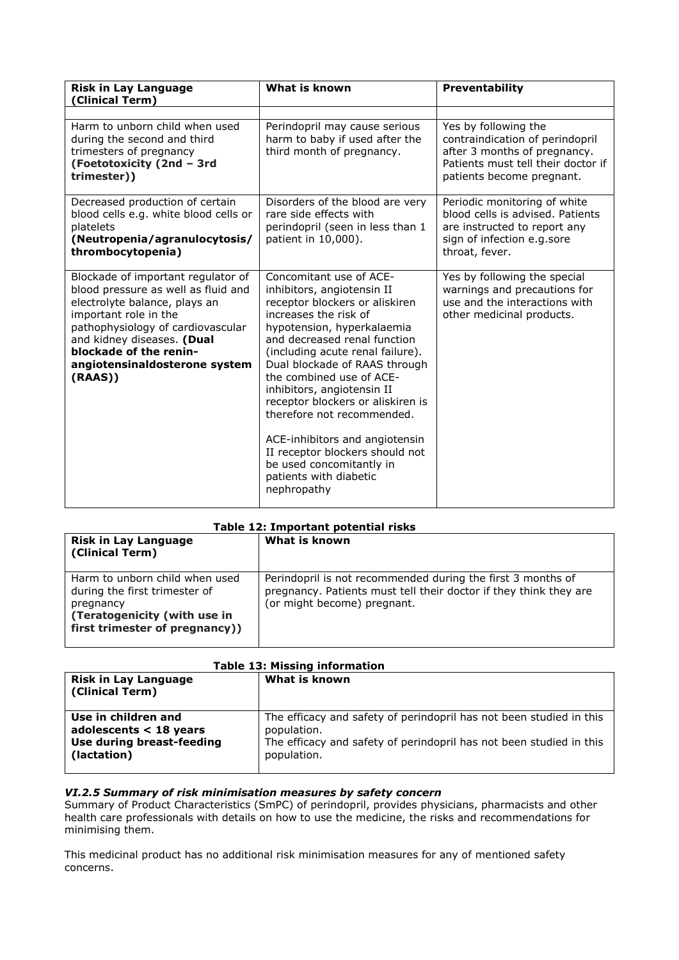| <b>Risk in Lay Language</b><br>(Clinical Term)                                                                                                                                                                                                                              | What is known                                                                                                                                                                                                                                                                                                                                                                                                                                                                                                              | Preventability                                                                                                                                             |
|-----------------------------------------------------------------------------------------------------------------------------------------------------------------------------------------------------------------------------------------------------------------------------|----------------------------------------------------------------------------------------------------------------------------------------------------------------------------------------------------------------------------------------------------------------------------------------------------------------------------------------------------------------------------------------------------------------------------------------------------------------------------------------------------------------------------|------------------------------------------------------------------------------------------------------------------------------------------------------------|
| Harm to unborn child when used<br>during the second and third<br>trimesters of pregnancy<br>(Foetotoxicity (2nd - 3rd<br>trimester))                                                                                                                                        | Perindopril may cause serious<br>harm to baby if used after the<br>third month of pregnancy.                                                                                                                                                                                                                                                                                                                                                                                                                               | Yes by following the<br>contraindication of perindopril<br>after 3 months of pregnancy.<br>Patients must tell their doctor if<br>patients become pregnant. |
| Decreased production of certain<br>blood cells e.g. white blood cells or<br>platelets<br>(Neutropenia/agranulocytosis/<br>thrombocytopenia)                                                                                                                                 | Disorders of the blood are very<br>rare side effects with<br>perindopril (seen in less than 1<br>patient in 10,000).                                                                                                                                                                                                                                                                                                                                                                                                       | Periodic monitoring of white<br>blood cells is advised. Patients<br>are instructed to report any<br>sign of infection e.g.sore<br>throat, fever.           |
| Blockade of important regulator of<br>blood pressure as well as fluid and<br>electrolyte balance, plays an<br>important role in the<br>pathophysiology of cardiovascular<br>and kidney diseases. (Dual<br>blockade of the renin-<br>angiotensinaldosterone system<br>(RAAS) | Concomitant use of ACE-<br>inhibitors, angiotensin II<br>receptor blockers or aliskiren<br>increases the risk of<br>hypotension, hyperkalaemia<br>and decreased renal function<br>(including acute renal failure).<br>Dual blockade of RAAS through<br>the combined use of ACE-<br>inhibitors, angiotensin II<br>receptor blockers or aliskiren is<br>therefore not recommended.<br>ACE-inhibitors and angiotensin<br>II receptor blockers should not<br>be used concomitantly in<br>patients with diabetic<br>nephropathy | Yes by following the special<br>warnings and precautions for<br>use and the interactions with<br>other medicinal products.                                 |

#### **Table 12: Important potential risks**

| <b>Risk in Lay Language</b><br>(Clinical Term)                                                                                                 | What is known                                                                                                                                                   |
|------------------------------------------------------------------------------------------------------------------------------------------------|-----------------------------------------------------------------------------------------------------------------------------------------------------------------|
| Harm to unborn child when used<br>during the first trimester of<br>pregnancy<br>(Teratogenicity (with use in<br>first trimester of pregnancy)) | Perindopril is not recommended during the first 3 months of<br>pregnancy. Patients must tell their doctor if they think they are<br>(or might become) pregnant. |

|  | <b>Table 13: Missing information</b> |
|--|--------------------------------------|
|  |                                      |

| <b>Risk in Lay Language</b><br>(Clinical Term) | What is known                                                       |
|------------------------------------------------|---------------------------------------------------------------------|
| Use in children and                            | The efficacy and safety of perindopril has not been studied in this |
| adolescents $<$ 18 years                       | population.                                                         |
| Use during breast-feeding                      | The efficacy and safety of perindopril has not been studied in this |
| (lactation)                                    | population.                                                         |

### *VI.2.5 Summary of risk minimisation measures by safety concern*

Summary of Product Characteristics (SmPC) of perindopril, provides physicians, pharmacists and other health care professionals with details on how to use the medicine, the risks and recommendations for minimising them.

This medicinal product has no additional risk minimisation measures for any of mentioned safety concerns.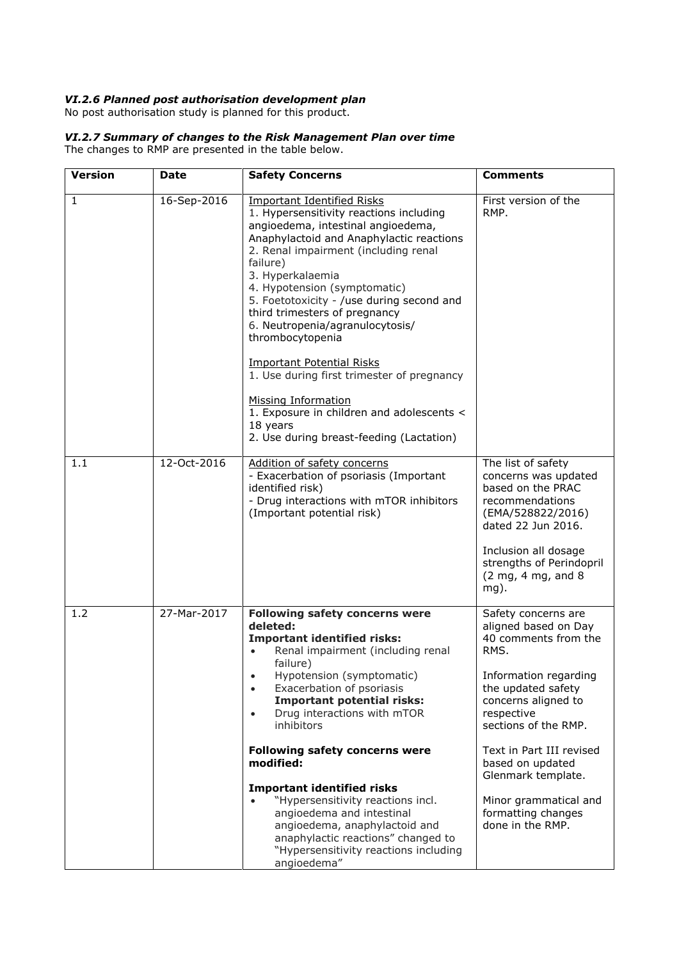### *VI.2.6 Planned post authorisation development plan*

No post authorisation study is planned for this product.

### *VI.2.7 Summary of changes to the Risk Management Plan over time*

The changes to RMP are presented in the table below.

| <b>Version</b> | <b>Date</b> | <b>Safety Concerns</b>                                                                                                                                                                                                                                                                                                                                                                                                                                                                                                                                                                                                           | <b>Comments</b>                                                                                                                                                                                                                               |
|----------------|-------------|----------------------------------------------------------------------------------------------------------------------------------------------------------------------------------------------------------------------------------------------------------------------------------------------------------------------------------------------------------------------------------------------------------------------------------------------------------------------------------------------------------------------------------------------------------------------------------------------------------------------------------|-----------------------------------------------------------------------------------------------------------------------------------------------------------------------------------------------------------------------------------------------|
| $\mathbf{1}$   | 16-Sep-2016 | <b>Important Identified Risks</b><br>1. Hypersensitivity reactions including<br>angioedema, intestinal angioedema,<br>Anaphylactoid and Anaphylactic reactions<br>2. Renal impairment (including renal<br>failure)<br>3. Hyperkalaemia<br>4. Hypotension (symptomatic)<br>5. Foetotoxicity - /use during second and<br>third trimesters of pregnancy<br>6. Neutropenia/agranulocytosis/<br>thrombocytopenia<br><b>Important Potential Risks</b><br>1. Use during first trimester of pregnancy<br><b>Missing Information</b><br>1. Exposure in children and adolescents <<br>18 years<br>2. Use during breast-feeding (Lactation) | First version of the<br>RMP.                                                                                                                                                                                                                  |
| 1.1            | 12-Oct-2016 | Addition of safety concerns<br>- Exacerbation of psoriasis (Important<br>identified risk)<br>- Drug interactions with mTOR inhibitors<br>(Important potential risk)                                                                                                                                                                                                                                                                                                                                                                                                                                                              | The list of safety<br>concerns was updated<br>based on the PRAC<br>recommendations<br>(EMA/528822/2016)<br>dated 22 Jun 2016.<br>Inclusion all dosage<br>strengths of Perindopril<br>$(2 \text{ mg}, 4 \text{ mg}, \text{and } 8)$<br>$mg$ ). |
| 1.2            | 27-Mar-2017 | <b>Following safety concerns were</b><br>deleted:<br><b>Important identified risks:</b><br>Renal impairment (including renal<br>failure)<br>Hypotension (symptomatic)<br>Exacerbation of psoriasis<br>$\bullet$<br><b>Important potential risks:</b><br>Drug interactions with mTOR<br>inhibitors<br>Following safety concerns were<br>modified:                                                                                                                                                                                                                                                                                 | Safety concerns are<br>aligned based on Day<br>40 comments from the<br>RMS.<br>Information regarding<br>the updated safety<br>concerns aligned to<br>respective<br>sections of the RMP.<br>Text in Part III revised<br>based on updated       |
|                |             | <b>Important identified risks</b><br>"Hypersensitivity reactions incl.<br>angioedema and intestinal<br>angioedema, anaphylactoid and<br>anaphylactic reactions" changed to<br>"Hypersensitivity reactions including<br>angioedema"                                                                                                                                                                                                                                                                                                                                                                                               | Glenmark template.<br>Minor grammatical and<br>formatting changes<br>done in the RMP.                                                                                                                                                         |